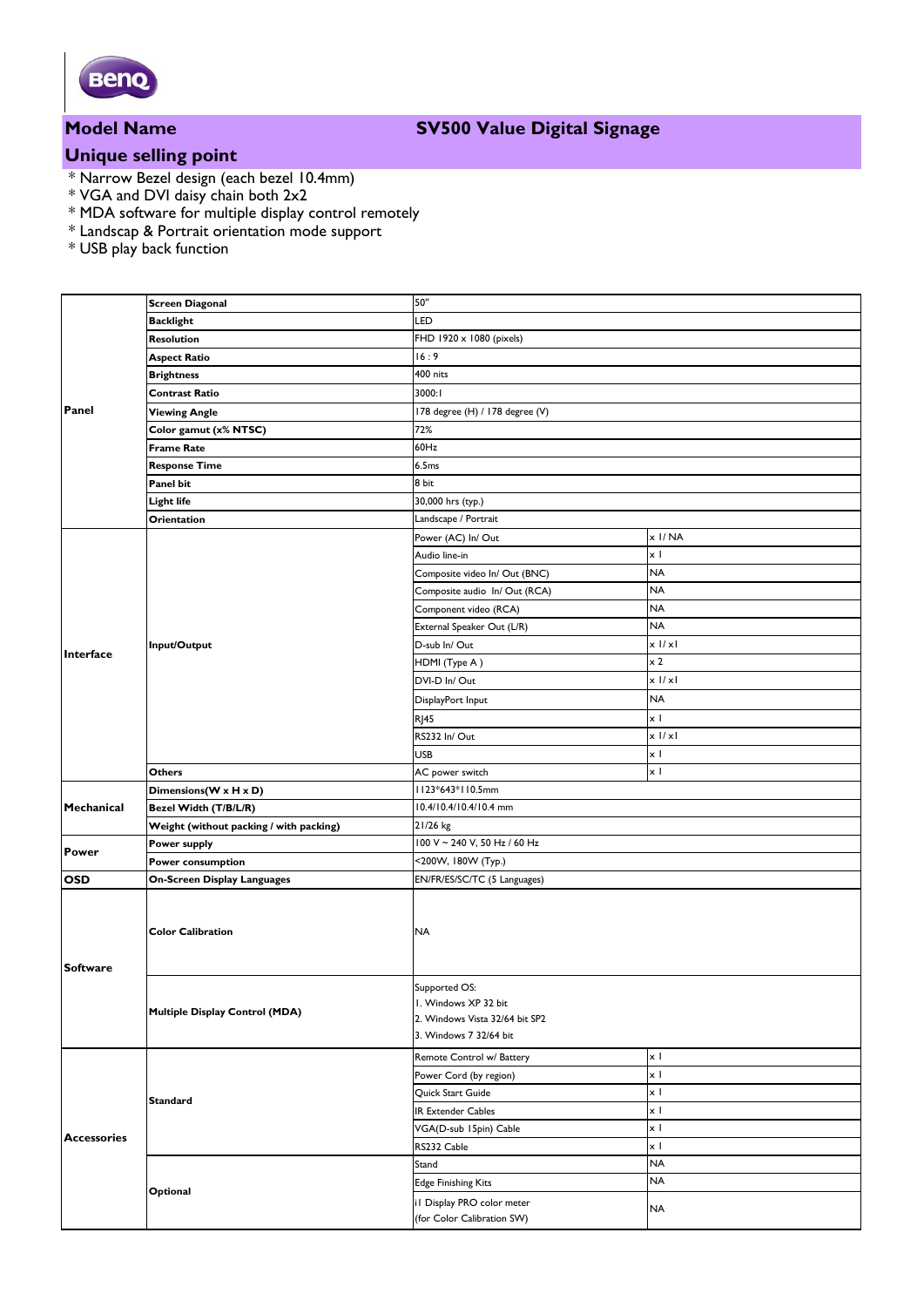

## **Model Name SV500 Value Digital Signage**

# **Unique selling point**

- \* Narrow Bezel design (each bezel 10.4mm)
- \* VGA and DVI daisy chain both 2x2
- \* MDA software for multiple display control remotely
- \* Landscap & Portrait orientation mode support
- \* USB play back function

| Panel              | <b>Screen Diagonal</b>                  | 50"                                                                                               |            |
|--------------------|-----------------------------------------|---------------------------------------------------------------------------------------------------|------------|
|                    | <b>Backlight</b>                        | LED                                                                                               |            |
|                    | Resolution                              | FHD 1920 x 1080 (pixels)                                                                          |            |
|                    | <b>Aspect Ratio</b>                     | 16:9                                                                                              |            |
|                    | <b>Brightness</b>                       | 400 nits                                                                                          |            |
|                    | Contrast Ratio                          | 3000:1                                                                                            |            |
|                    | <b>Viewing Angle</b>                    | 178 degree (H) / 178 degree (V)                                                                   |            |
|                    | Color gamut (x% NTSC)                   | 72%                                                                                               |            |
|                    | <b>Frame Rate</b>                       | 60Hz                                                                                              |            |
|                    | <b>Response Time</b>                    | 6.5ms                                                                                             |            |
|                    | Panel bit                               | 8 bit                                                                                             |            |
|                    | Light life                              | 30,000 hrs (typ.)                                                                                 |            |
| Interface          | Orientation                             | Landscape / Portrait                                                                              |            |
|                    |                                         | Power (AC) In/ Out                                                                                | x I/NA     |
|                    | Input/Output                            | Audio line-in                                                                                     | x I        |
|                    |                                         | Composite video In/ Out (BNC)                                                                     | <b>NA</b>  |
|                    |                                         | Composite audio In/Out (RCA)                                                                      | <b>NA</b>  |
|                    |                                         | Component video (RCA)                                                                             | <b>NA</b>  |
|                    |                                         | External Speaker Out (L/R)                                                                        | <b>NA</b>  |
|                    |                                         | D-sub In/Out                                                                                      | $x$ $1/x1$ |
|                    |                                         | HDMI (Type A)                                                                                     | $\times 2$ |
|                    |                                         | DVI-D In/Out                                                                                      | $x$ $1/x1$ |
|                    |                                         | DisplayPort Input                                                                                 | <b>NA</b>  |
|                    |                                         | <b>RJ45</b>                                                                                       | $\times$ 1 |
|                    |                                         | RS232 In/Out                                                                                      | $x$ $1/x1$ |
|                    |                                         | <b>USB</b>                                                                                        | $\times$ 1 |
|                    | Others                                  | AC power switch                                                                                   | x I        |
| Mechanical         | Dimensions(W x H x D)                   | II23*643*II0.5mm                                                                                  |            |
|                    | Bezel Width (T/B/L/R)                   | 10.4/10.4/10.4/10.4 mm                                                                            |            |
|                    | Weight (without packing / with packing) | 21/26 kg                                                                                          |            |
|                    | Power supply                            | 100 V ~ 240 V, 50 Hz / 60 Hz                                                                      |            |
| <b>Power</b>       | Power consumption                       | <200W, 180W (Typ.)                                                                                |            |
| <b>OSD</b>         | On-Screen Display Languages             | EN/FR/ES/SC/TC (5 Languages)                                                                      |            |
| <b>Software</b>    | <b>Color Calibration</b>                | <b>NA</b>                                                                                         |            |
|                    | <b>Multiple Display Control (MDA)</b>   | Supported OS:<br>I. Windows XP 32 bit<br>2. Windows Vista 32/64 bit SP2<br>3. Windows 7 32/64 bit |            |
| <b>Accessories</b> | <b>Standard</b>                         | Remote Control w/ Battery                                                                         | $\times$ 1 |
|                    |                                         | Power Cord (by region)                                                                            | x I        |
|                    |                                         | Quick Start Guide                                                                                 | x I        |
|                    |                                         | IR Extender Cables                                                                                | x I        |
|                    |                                         | VGA(D-sub 15pin) Cable                                                                            | $\times$ 1 |
|                    |                                         | RS232 Cable                                                                                       | x I        |
|                    | Optional                                | Stand                                                                                             | <b>NA</b>  |
|                    |                                         | <b>Edge Finishing Kits</b>                                                                        | <b>NA</b>  |
|                    |                                         | il Display PRO color meter                                                                        |            |
|                    |                                         | (for Color Calibration SW)                                                                        | <b>NA</b>  |